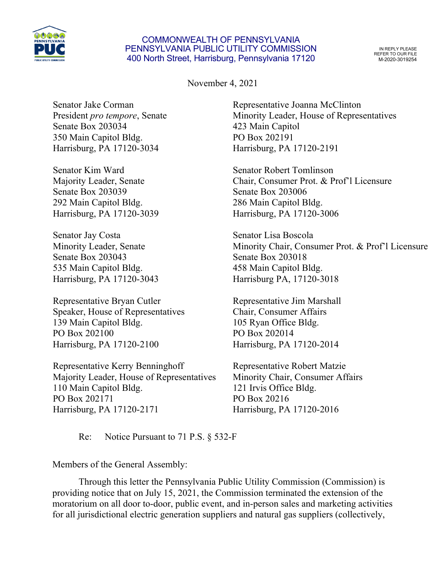

## COMMONWEALTH OF PENNSYLVANIA PENNSYLVANIA PUBLIC UTILITY COMMISSION 400 North Street, Harrisburg, Pennsylvania 17120

IN REPLY PLEASE REFER TO OUR FILE M-2020-3019254

November 4, 2021

Senator Jake Corman President *pro tempore*, Senate Senate Box 203034 350 Main Capitol Bldg. Harrisburg, PA 17120-3034

Senator Kim Ward Majority Leader, Senate Senate Box 203039 292 Main Capitol Bldg. Harrisburg, PA 17120-3039

Senator Jay Costa Minority Leader, Senate Senate Box 203043 535 Main Capitol Bldg. Harrisburg, PA 17120-3043

Representative Bryan Cutler Speaker, House of Representatives 139 Main Capitol Bldg. PO Box 202100 Harrisburg, PA 17120-2100

Representative Kerry Benninghoff Majority Leader, House of Representatives 110 Main Capitol Bldg. PO Box 202171 Harrisburg, PA 17120-2171

Representative Joanna McClinton Minority Leader, House of Representatives 423 Main Capitol PO Box 202191 Harrisburg, PA 17120-2191

Senator Robert Tomlinson Chair, Consumer Prot. & Prof'l Licensure Senate Box 203006 286 Main Capitol Bldg. Harrisburg, PA 17120-3006

Senator Lisa Boscola Minority Chair, Consumer Prot. & Prof'l Licensure Senate Box 203018 458 Main Capitol Bldg. Harrisburg PA, 17120-3018

Representative Jim Marshall Chair, Consumer Affairs 105 Ryan Office Bldg. PO Box 202014 Harrisburg, PA 17120-2014

Representative Robert Matzie Minority Chair, Consumer Affairs 121 Irvis Office Bldg. PO Box 20216 Harrisburg, PA 17120-2016

Re: Notice Pursuant to 71 P.S. § 532-F

Members of the General Assembly:

Through this letter the Pennsylvania Public Utility Commission (Commission) is providing notice that on July 15, 2021, the Commission terminated the extension of the moratorium on all door to-door, public event, and in-person sales and marketing activities for all jurisdictional electric generation suppliers and natural gas suppliers (collectively,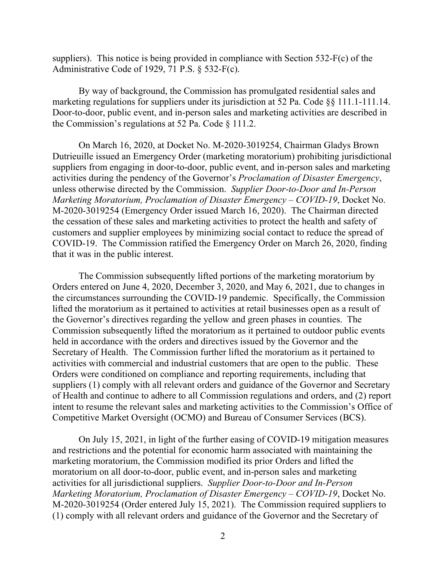suppliers). This notice is being provided in compliance with Section 532-F(c) of the Administrative Code of 1929, 71 P.S. § 532-F(c).

By way of background, the Commission has promulgated residential sales and marketing regulations for suppliers under its jurisdiction at 52 Pa. Code §§ 111.1-111.14. Door-to-door, public event, and in-person sales and marketing activities are described in the Commission's regulations at 52 Pa. Code § 111.2.

On March 16, 2020, at Docket No. M-2020-3019254, Chairman Gladys Brown Dutrieuille issued an Emergency Order (marketing moratorium) prohibiting jurisdictional suppliers from engaging in door-to-door, public event, and in-person sales and marketing activities during the pendency of the Governor's *Proclamation of Disaster Emergency*, unless otherwise directed by the Commission. *Supplier Door-to-Door and In-Person Marketing Moratorium, Proclamation of Disaster Emergency – COVID-19*, Docket No. M-2020-3019254 (Emergency Order issued March 16, 2020). The Chairman directed the cessation of these sales and marketing activities to protect the health and safety of customers and supplier employees by minimizing social contact to reduce the spread of COVID-19. The Commission ratified the Emergency Order on March 26, 2020, finding that it was in the public interest.

The Commission subsequently lifted portions of the marketing moratorium by Orders entered on June 4, 2020, December 3, 2020, and May 6, 2021, due to changes in the circumstances surrounding the COVID-19 pandemic. Specifically, the Commission lifted the moratorium as it pertained to activities at retail businesses open as a result of the Governor's directives regarding the yellow and green phases in counties. The Commission subsequently lifted the moratorium as it pertained to outdoor public events held in accordance with the orders and directives issued by the Governor and the Secretary of Health. The Commission further lifted the moratorium as it pertained to activities with commercial and industrial customers that are open to the public. These Orders were conditioned on compliance and reporting requirements, including that suppliers (1) comply with all relevant orders and guidance of the Governor and Secretary of Health and continue to adhere to all Commission regulations and orders, and (2) report intent to resume the relevant sales and marketing activities to the Commission's Office of Competitive Market Oversight (OCMO) and Bureau of Consumer Services (BCS).

On July 15, 2021, in light of the further easing of COVID-19 mitigation measures and restrictions and the potential for economic harm associated with maintaining the marketing moratorium, the Commission modified its prior Orders and lifted the moratorium on all door-to-door, public event, and in-person sales and marketing activities for all jurisdictional suppliers. *Supplier Door-to-Door and In-Person Marketing Moratorium, Proclamation of Disaster Emergency – COVID-19*, Docket No. M-2020-3019254 (Order entered July 15, 2021). The Commission required suppliers to (1) comply with all relevant orders and guidance of the Governor and the Secretary of